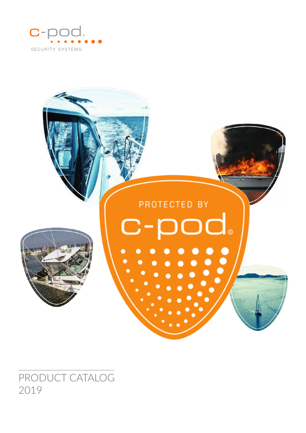



PRODUCT CATALOG 2019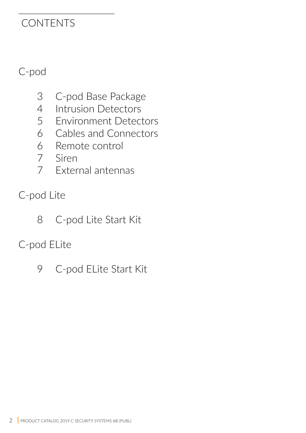### **CONTENTS**

### C-pod

- C-pod Base Package
- Intrusion Detectors
- Environment Detectors
- Cables and Connectors
- Remote control
- Siren
- External antennas
- C-pod Lite
	- C-pod Lite Start Kit

### C-pod ELite

C-pod ELite Start Kit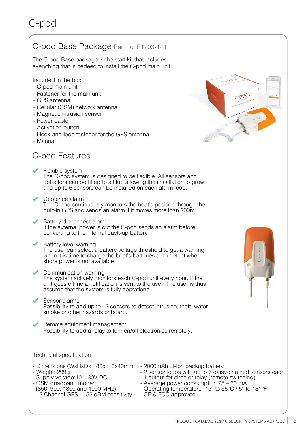### C-pod Base Package Part no: P1703-141

The C-pod Base package is the start kit that includes everything that is nedeed to install the C-pod main unit.

Included in the box:

- C-pod main unit
- Fastener for the main unit
- GPS antenna
- Cellular (GSM) network antenna
- Magnetic intrusion sensor
- Power cable
- Activation button
- Hook-and-loop fastener for the GPS antenna
- Manual

### C-pod Features

- Flexible system The C-pod system is designed to be flexible. All sensors and detectors can be fitted to a Hub allowing the installation to grow and up to 6 sensors can be installed on each alarm loop.
- Geofence alarm The C-pod continuously monitors the boat's position through the built-in GPS and sends an alarm if it moves more than 200m
- Battery disconnect alarm If the external power is cut the C-pod sends an alarm before converting to the internal back-up battery
- Battery level warning The user can select a battery voltage threshold to get a warning when it is time to charge the boat's batteries or to detect when shore power is not available
- Communication warning The system actively monitors each C-pod unit every hour. If the unit goes offline a notification is sent to the user. The user is thus assured that the system is fully operational.
- Sensor alarms Possibility to add up to 12 sensors to detect intrusion, theft, water, smoke or other hazards onboard.
- Remote equipment management Possibility to add a relay to turn on/off electronics remotely.

Technical specification

- Dimensions (WxHxD): 180x110x40mm
- Weight: 299g
- Supply voltage:10 30V DC
- GSM quadband modem
- (850, 900, 1800 and 1900 MHz)
- 12 Channel GPS, -152 dBM sensitivity
- 2000mAh Li-Ion backup battery
- 2 sensor loops with up to 6 daisy-chained sensors each
- 1 output for siren or relay (remote switching)
- Average power consumption 25 30 mA
- Operating temperature -15° to 55°C / 5° to 131°F
- CE & FCC approved



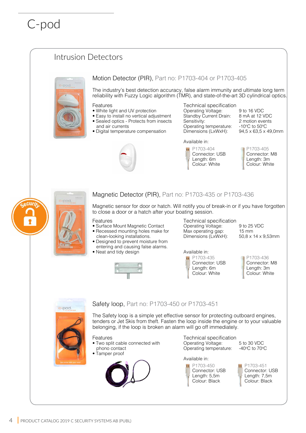### Intrusion Detectors



### Motion Detector (PIR), Part no: P1703-404 or P1703-405

The industry's best detection accuracy, false alarm immunity and ultimate long term reliability with Fuzzy Logic algorithm (TMR), and state-of-the-art 3D cylindrical optics.

#### Features

- White light and UV protection
- Easy to install no vertical adjustment
- Sealed optics Protects from insects and air currents
- Digital temperature compensation



Technical specification Operating Voltage: 9 to 16 VDC<br>Standby Current Drain: 8 mA at 12 VDC

Standby Current Drain:<br>Sensitivity: Operating temperature: -10°C to 50°C<br>Dimensions (LxWxH): 94,5 x 63,5 x 49,0mm Dimensions (LxWxH):

2 motion events  $\degree$ C to 50 $\degree$ C

Available in: P1703-404 Connector: USB Length: 6m Colour: White

P1703-405 Connector: M8 Length: 3m Colour: White



#### Magnetic Detector (PIR), Part no: P1703-435 or P1703-436

Magnetic sensor for door or hatch. Will notify you of break-in or if you have forgotten to close a door or a hatch after your boating session.

Features

- Surface Mount Magnetic Contact
- Recessed mounting holes make for
- clean-looking installations.
- Designed to prevent moisture from entering and causing false alarms.
- Neat and tidy design



Technical specification Operating Voltage: 9 to 25 VDC<br>Max operating gap: 15 mm Max operating gap: 15 mm<br>Dimensions (LxWxH): 50,8 x 14 x 9,53mm Dimensions (LxWxH):

Available in: P1703-435 Connector: USB Length: 6m Colour: White

P1703-436 Connector: M8 Length: 3m Colour: White

### Safety loop, Part no: P1703-450 or P1703-451

The Safety loop is a simple yet effective sensor for protecting outboard engines, tenders or Jet Skis from theft. Fasten the loop inside the engine or to your valuable belonging, if the loop is broken an alarm will go off immediately.

c-pod.

Features • Two split cable connected with phono contact • Tamper proof

Technical specification Operating Voltage: 5 to 30 VDC Operating temperature:

Available in:



P1703-451 Connector: USB Length: 7,5m Colour: Black

°C to 70°C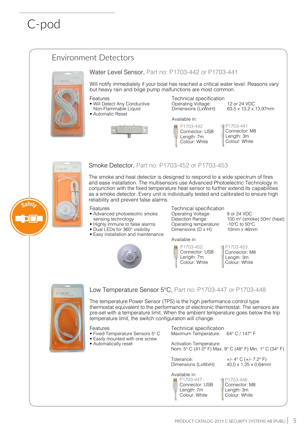

P1703-447 Connector: USB Length: 7m Colour: White

Available in:

P1703-448 Connector: M8 Length: 3m Colour: White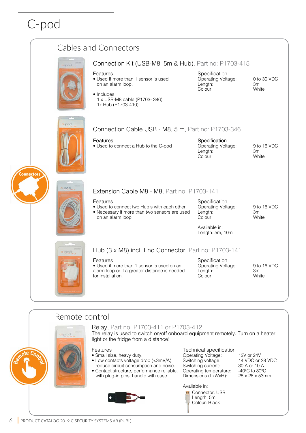

#### Remote control Relay, Part no: P1703-411 or P1703-412 The relay is used to switch on/off onboard equipment remotely. Turn on a heater, pod. light or the fridge from a distance! Features Technical specification • Small size, heavy duty. Operating Voltage: 12V or 24V<br>Switching voltage: 14 VDC or 28 VDC • Low contacts voltage drop (<3mV/A), Switching voltage: 14 VDC or 28<br>Switching current: 30 A or 10 A reduce circuit consumption and noise. Switching current: • Contact structure, performance reliable, Operating temperature:  $-40^{\circ}$ C to 80°C<br>Dimensions (LxWxH):  $28 \times 28 \times 53$ mm 'C to 80°C with plug-in pins, handle with ease. Dimensions (LxWxH): Available in: Connector: USB Length: 5m Colour: Black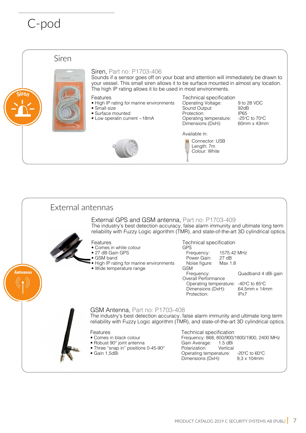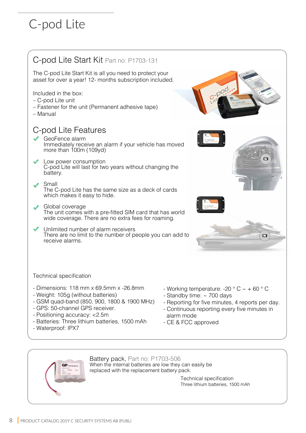# C-pod Lite



- Waterproof: IPX7

- Reporting for five minutes, 4 reports per day.
- Continuous reporting every five minutes in
- 



Battery pack, Part no: P1703-506 When the internal batteries are low they can easily be

replaced with the replacement battery pack.

Technical specification Three lithium batteries, 1500 mAh